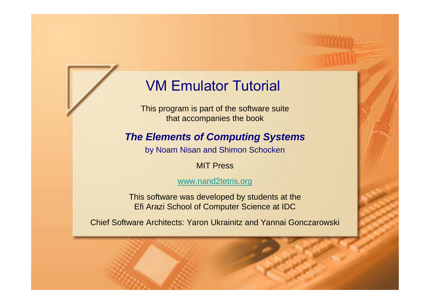## VM Emulator Tutorial

This program is part of the software suitethat accompanies the book

#### **The Elements of Computing Systems**

by Noam Nisan and Shimon Schocken

#### MIT Press

#### www.nand2tetris.org

This software was developed by students at theEfi Arazi School of Computer Science at IDC

Chief Software Architects: Yaron Ukrainitz and Yannai Gonczarowski

Tutorial Index Slide 1/34 (1944) and 1/34 (1944) and 1/34 (1944) and 1/34 (1944) and 1/34 (1944) and 1/34 (194

VM Emulator Tutorial, www.nand2tetris.org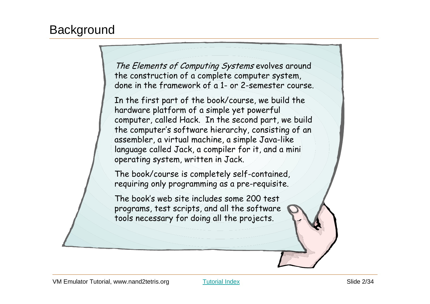#### **Background**

The Elements of Computing Systems evolves around the construction of a complete computer system, done in the framework of a 1- or 2-semester course.

In the first part of the book/course, we build the hardware platform of a simple yet powerful computer, called Hack. In the second part, we build the computer's software hierarchy, consisting of anassembler, a virtual machine, a simple Java-like language called Jack, a compiler for it, and a mini operating system, written in Jack.

The book/course is completely self-contained, requiring only programming as a pre-requisite.

The book's web site includes some 200 test programs, test scripts, and all the software tools necessary for doing all the projects.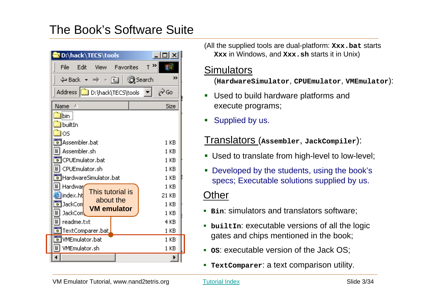#### The Book's Software Suite

| D:\hack\TECS\tools                                           | 11 X             |
|--------------------------------------------------------------|------------------|
| Edit<br>File<br><b>View</b><br><b>Favorites</b>              | $T^{\lambda}$    |
|                                                              | >>               |
| Address <b>D</b> D:\hack\TECS\tools                          | $\mathcal{O}$ Go |
| Name<br>£.                                                   | Size             |
| ]ibin ∣<br>builtIn<br>los                                    |                  |
| TAssembler.bat<br>Assembler.sh                               | 1 KB<br>1 KB     |
| TCPUEmulator.bat<br>▒<br>CPUEmulator.sh                      | 1 KB<br>1 KB     |
| HardwareSimulator.bat                                        | 1 KB             |
| ≣<br>Hardwar<br>This tutorial is<br>]index.ht <mark>l</mark> | 1 KB<br>21 KB    |
| about the<br>न<br> JackCon <br><b>VM</b> emulator<br>JackCom | 1 KB<br>1 KB     |
| ▒<br>readme.txt                                              | 4 KB             |
| TextComparer.bat                                             | 1 KB             |
| TWMEmulator.bat                                              | 1 KB             |
| VMEmulator.sh                                                | 1 KB             |
|                                                              |                  |

(All the supplied tools are dual-platform: **Xxx.bat** starts **Xxx** in Windows, and **Xxx.sh** starts it in Unix)

#### **Simulators**

(**HardwareSimulator**, **CPUEmulator**, **VMEmulator**):

- Used to build hardware platforms andexecute programs;
- Supplied by us.

#### Translators (**Assembler**, **JackCompiler**):

- **Used to translate from high-level to low-level;**
- Developed by the students, using the book's specs; Executable solutions supplied by us.

#### **Other**

- **Bin**: simulators and translators software;
- **builtIn**: executable versions of all the logic gates and chips mentioned in the book;
- **•** os: executable version of the Jack OS;
- I. **TextComparer**: a text comparison utility.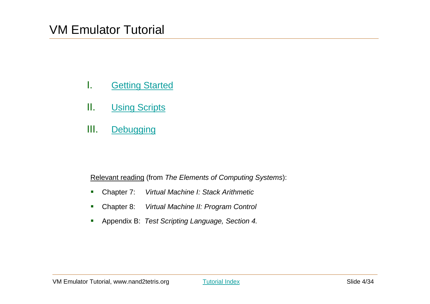- I.**Getting Started**
- II.**Using Scripts**
- III.**Debugging**

Relevant reading (from The Elements of Computing Systems):

- $\mathbf{r}$ Chapter 7: Virtual Machine I: Stack Arithmetic
- $\mathbf{r}$ Chapter 8: Virtual Machine II: Program Control
- $\mathbf{r}$ Appendix B: Test Scripting Language, Section 4.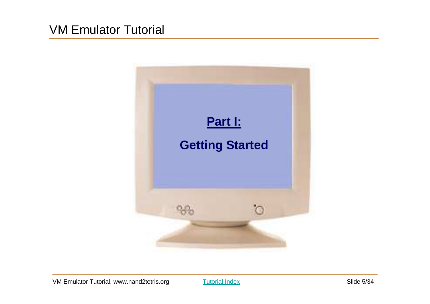

Tutorial Index Slide 5/34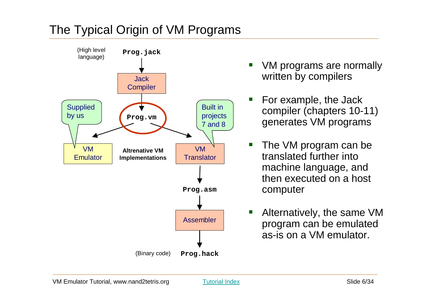## The Typical Origin of VM Programs



- $\mathcal{L}(\mathcal{L})$  VM programs are normally written by compilers
- For example, the Jack compiler (chapters 10-11) generates VM programs
- $\blacksquare$  The VM program can be translated further into machine language, and then executed on a host computer
- $\overline{\phantom{a}}$  Alternatively, the same VM program can be emulated as-is on a VM emulator.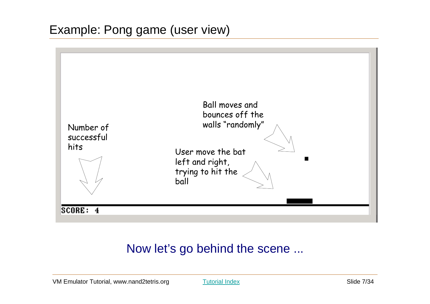

## Now let's go behind the scene ...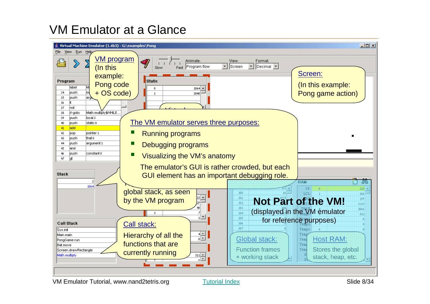#### VM Emulator at a Glance

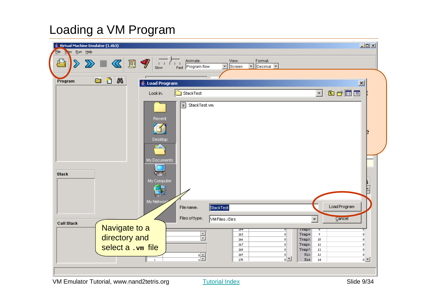#### Loading a VM Program

| $\Box$<br>Virtual Machine Emulator (1.4b3)<br>File<br>Waw Run Help                                                                                                            |  |
|-------------------------------------------------------------------------------------------------------------------------------------------------------------------------------|--|
| Animate:<br>View:<br>ఆ<br>国ッ<br>Format:<br>$ \mathcal{R} $<br>$\sum$<br>$ \text{Decimal} \blacktriangleright $<br>Fast Program flow<br>Screen<br>$\blacktriangledown$<br>Slow |  |
|                                                                                                                                                                               |  |
| O<br>踻<br>a<br>Program<br>$\overline{\mathbf{x}}$<br>Load Program                                                                                                             |  |
| 白谷园园<br>$\blacktriangledown$<br>StackTest<br>Look in:                                                                                                                         |  |
| Ħ<br>StackTest.vm<br>Recent<br>Desktop<br>My Documents<br><b>Stack</b><br>My Computer<br>E<br>卷星                                                                              |  |
| My Networ                                                                                                                                                                     |  |
| Load Program<br>StackTest<br>File name:                                                                                                                                       |  |
| Files of type.<br>VM Files / Dirs<br>Cancel<br><b>Call Stack</b>                                                                                                              |  |
| Navigate to a<br>$\overline{254}$<br>Temps:<br>ह<br>U<br>٠                                                                                                                    |  |
| 265<br>Temp4:<br>9<br> 0 <br>n<br>directory and<br>╤<br>Temp5:<br>10 <sub>1</sub><br>266<br> 0 <br>$\Omega$                                                                   |  |
| $11\,$<br>267<br>Temp6:<br>$\theta$<br> 0 <br>select a .vm file<br>12<br>$\vert 0 \vert$<br>268<br> 0 <br>Temp7:                                                              |  |
| $\frac{1}{\sqrt{2}}$<br>269<br>R13:<br>13<br> 0 <br> 0 <br>$\frac{1}{2}$<br>$0$ $\mathbf{r}$<br>R14:<br>270<br>14<br>$\overline{1}$                                           |  |
|                                                                                                                                                                               |  |
| Slide 9/34<br>VM Emulator Tutorial, www.nand2tetris.org<br><b>Tutorial Index</b>                                                                                              |  |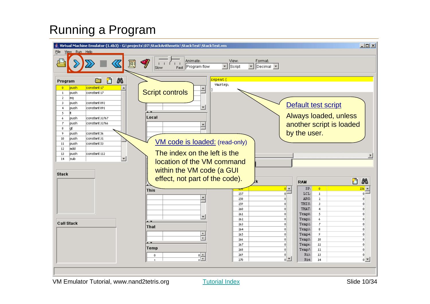## Running a Program



Tutorial Index Slide 10/34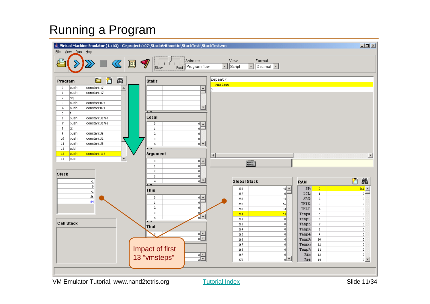## Running a Program

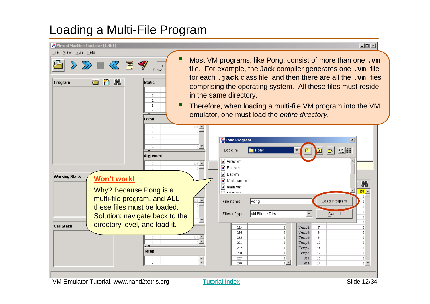#### Loading a Multi-File Program

| $\mathbf{\mathfrak{B}}$ Virtual Machine Emulator (1.4b1)                                                                                      | $-10x$                                                                                                                                                                                                                                                                                                                                                                                               |
|-----------------------------------------------------------------------------------------------------------------------------------------------|------------------------------------------------------------------------------------------------------------------------------------------------------------------------------------------------------------------------------------------------------------------------------------------------------------------------------------------------------------------------------------------------------|
| File View Run Help<br>圓<br>$1 - 1$<br>Slow<br>n<br>踻<br><b>Static</b><br>Program<br>a<br>$\mathbf{0}$<br>$\mathbf{1}$<br>2<br>3<br>4<br>Local | Most VM programs, like Pong, consist of more than one. vm<br>file. For example, the Jack compiler generates one. vm file<br>for each. jack class file, and then there are all the. vm fies<br>comprising the operating system. All these files must reside<br>in the same directory.<br>Therefore, when loading a multi-file VM program into the VM<br>emulator, one must load the entire directory. |
| $\Box$<br>$\overline{1}$<br>2<br>R<br><b>Argument</b><br>256<br>0<br><b>Working Stack</b><br>Won't work!                                      | Load Program<br>$\vert x \vert$<br>$\mathbb{R}$ $\mathbb{R}$<br>Pong<br>Look in:<br>❀∣<br>a Array.vm<br>a Ball.vm<br>an Bat.vm<br>a Keyboard.vm                                                                                                                                                                                                                                                      |
| Why? Because Pong is a<br>multi-file program, and ALL<br>these files must be loaded.<br>Solution: navigate back to the                        | 踻<br>l∍i] Main.vm<br>$\frac{256}{5}$ $\triangle$<br>بالمناسبة والمستوقية<br>Load Program<br>File name:<br>Pong<br>n<br>-O<br><b>VM Files / Dirs</b><br>Files of type:<br>Cancel<br>$\Omega$                                                                                                                                                                                                          |
| œ<br>directory level, and load it.<br><b>Call Stack</b><br>256 -<br>≂<br>Temp<br>음<br>0<br>$\mathbf{1}$                                       | -O<br>Temp2:<br>263<br>Ζ<br>0.<br>n<br>8<br>264<br>0.<br>Temp3:<br>0<br>Temp4:<br>9<br>265<br>n<br>Temp5:<br>10<br>266<br>$\theta$<br>Temp6:<br>11<br>267<br>$\mathbf{0}$<br>n<br>Temp7:<br>12<br>268<br>$\mathbf{0}$<br>$\theta$<br>269<br>R13:<br>13<br>0.<br>0<br>0<br>$0$ $\rightarrow$<br>270<br>R14:<br>14                                                                                     |

Tutorial Index Slide 12/34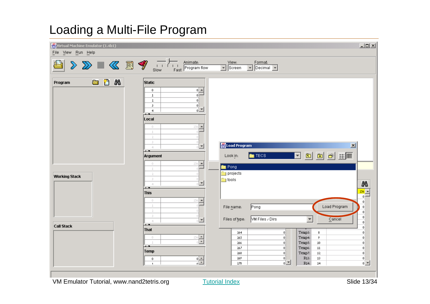#### Loading a Multi-File Program

| Virtual Machine Emulator (1.4b1)<br>File View Run Help |                                                                                                                                                                                                                                                                                                          | $-10x$                                                                                                                                                                                                                                                                                                                                                                                                                                                |
|--------------------------------------------------------|----------------------------------------------------------------------------------------------------------------------------------------------------------------------------------------------------------------------------------------------------------------------------------------------------------|-------------------------------------------------------------------------------------------------------------------------------------------------------------------------------------------------------------------------------------------------------------------------------------------------------------------------------------------------------------------------------------------------------------------------------------------------------|
|                                                        |                                                                                                                                                                                                                                                                                                          | $\sqrt{\frac{1}{\text{Screen}}}$<br>Format:<br>$\boxed{\bullet}$ Decimal $\boxed{\bullet}$                                                                                                                                                                                                                                                                                                                                                            |
| e n<br>踻<br>Program                                    | <b>Static</b><br>$\frac{1}{\sqrt{2}}$<br>$\mathbf{0}$<br>$\mathbf{1}$<br>$\mathbf{2}$<br> 0 <br>$\frac{1}{\sqrt{2}}$<br>$\bar{\bf 3}$<br>$\overline{4}$<br>$\overline{\phantom{a}}$<br>Local<br>$256$ $\triangle$<br>0<br>$\perp$<br>2<br>3<br>$\overline{\phantom{a}}$<br>4<br>$\overline{\phantom{a}}$ | Load Program<br>$\mathbf{x}$                                                                                                                                                                                                                                                                                                                                                                                                                          |
| <b>Working Stack</b>                                   | <b>Argument</b><br>$\frac{256 \triangleq 1}{256 \triangleq 1}$<br>$\mathbb O$<br>$\perp$<br>$\bar{z}$<br>3<br>$\overline{\phantom{a}}$<br>4<br>$\overline{\phantom{a}}$<br><b>This</b><br>$256$ $\rightarrow$<br>0<br>$\perp$                                                                            | $\neg$ $\Box$ $\Box$ $\Box$ $\Box$ $\Box$ $\Box$ $\Box$<br><b>TECS</b><br>Look in:<br><b>P</b> ong<br>projects<br>$\frac{1}{\log 2}$ tools<br>$\begin{array}{c}\n\frac{\partial \mathbf{B}}{\partial s} \\ \hline\n\end{array}$<br> 0 <br>Load Program<br>Pong<br>File name:<br>$\mathbf 0$                                                                                                                                                           |
| <b>Call Stack</b>                                      | 2<br>3<br>F<br>$\triangleleft$<br>$\overline{\phantom{a}}$<br><b>That</b><br>$\begin{array}{r l} \hline 256 & \hline \end{array}$<br>$\mathbb O$<br>$\perp$<br>$\overline{\phantom{a}}$<br>Temp<br>$\frac{1}{\sqrt{2}}$<br>$\bf{0}$<br>$\mathbf{1}$                                                      | $\theta$<br> 0 <br><b>VM Files / Dirs</b><br>$\blacktriangledown$<br>Files of type:<br>Cancel<br>$\theta$<br>$\Omega$<br>Temp3:<br>264<br>8<br> 0 <br>0<br>265<br>Temp4:<br>9<br>$\mathbf 0$<br>$\overline{0}$<br>Temp5:<br>10 <sub>1</sub><br>266<br>$\vert 0 \vert$<br>0<br>$11\,$<br>267<br>Temp6:<br>$\vert 0 \vert$<br>n<br>268<br>12<br> 0 <br>Temp7:<br> 0 <br>269<br>R13:<br>13<br> 0 <br> 0 <br>하지<br>$0$ $\rightarrow$<br>270<br>R14:<br>14 |

VM Emulator Tutorial, www.nand2tetris.org

Tutorial Index **Slide 13/34**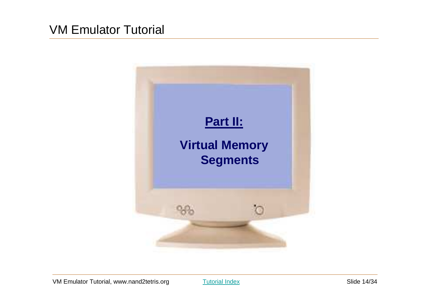![](_page_13_Picture_1.jpeg)

Tutorial Index Slide 14/34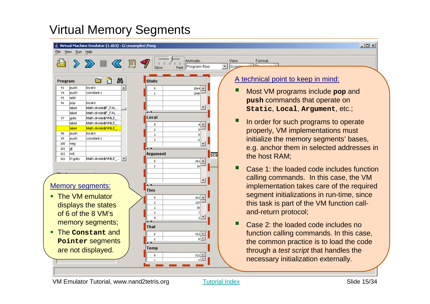## Virtual Memory Segments

![](_page_14_Figure_1.jpeg)

Tutorial Index Slide 15/34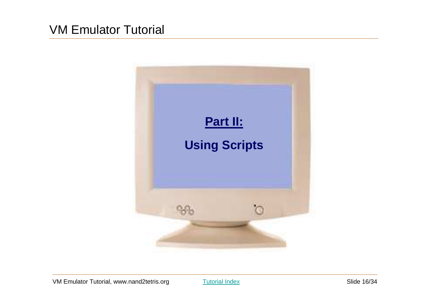![](_page_15_Picture_1.jpeg)

Tutorial Index **Slide 16/34**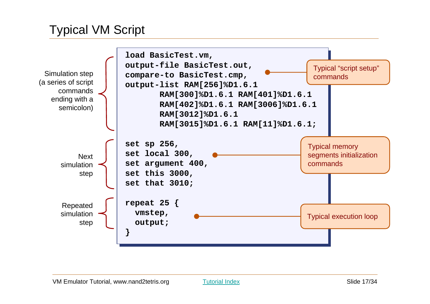#### Typical VM Script

![](_page_16_Figure_1.jpeg)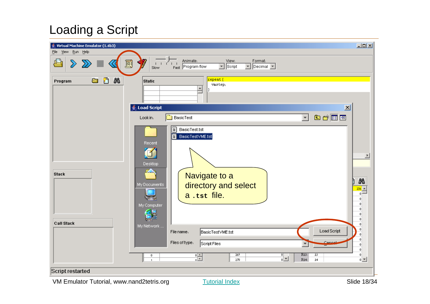# Loading a Script

| Virtual Machine Emulator (1.4b3)          |                                                                                                                                                                                     | $\Box$                                                                                                      |
|-------------------------------------------|-------------------------------------------------------------------------------------------------------------------------------------------------------------------------------------|-------------------------------------------------------------------------------------------------------------|
| Run Help<br>Eile<br>View                  |                                                                                                                                                                                     |                                                                                                             |
| ௮<br>$\gg$<br>≤                           | Animate:<br>View:<br>Format:<br>E<br>ĚЕ<br>$\boxed{\mathbf{v}}$ Script<br>$\boxed{\mathbf{v}}$ Decimal $\boxed{\mathbf{v}}$<br>Fast Program flow<br>Slow                            |                                                                                                             |
| ū<br>踻<br>g<br>Program                    | repeat {<br><b>Static</b><br>vmstep,<br>$\Delta$<br>Load Script                                                                                                                     | $\mathbf{x}$                                                                                                |
|                                           | 白的丽面<br>BasicTest<br>$\vert \cdot \vert$<br>Look in:                                                                                                                                |                                                                                                             |
| <b>Stack</b><br><b>Call Stack</b>         | ËÌ<br>BasicTest.tst<br>BasicTestVME.tst<br>ê<br>Recent<br>Desktop<br><u>иж</u><br>Navigate to a<br>directory and select<br>My Documents<br>a.tst file.<br>My Computer<br>My Network | $\overline{E}$<br>踻<br>$\frac{256}{0}$ =<br>$\theta$<br>$\theta$<br>$\theta$<br>$\theta$<br>$^{\circ}$<br>0 |
|                                           | <b>Load Script</b><br>BasicTestVME.tst<br>File name.<br>Files of type.<br>Cance                                                                                                     | n<br>0<br>$\theta$                                                                                          |
|                                           | Script Files<br>٠<br>269<br>R13:<br>$\overline{13}$<br>$\frac{1}{10}$<br>0<br>쀪<br>R14:<br>270<br>14                                                                                | $\boldsymbol{0}$<br>$\theta$<br> 0 <br>$0$ $\mathbf{r}$                                                     |
| Script restarted                          |                                                                                                                                                                                     |                                                                                                             |
| VM Emulator Tutorial, www.nand2tetris.org | <b>Tutorial Index</b>                                                                                                                                                               | Slide 18/34                                                                                                 |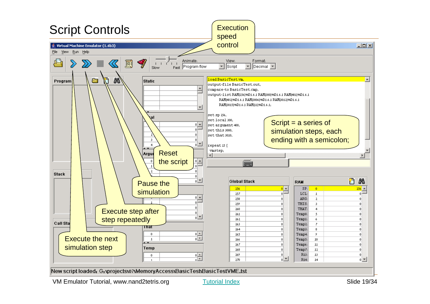![](_page_18_Figure_0.jpeg)

Tutorial Index Slide 19/34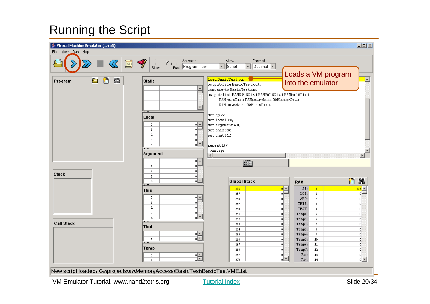![](_page_19_Figure_1.jpeg)

Tutorial Index Slide 20/34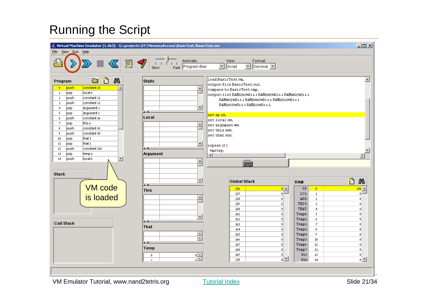![](_page_20_Figure_1.jpeg)

Tutorial Index Slide 21/34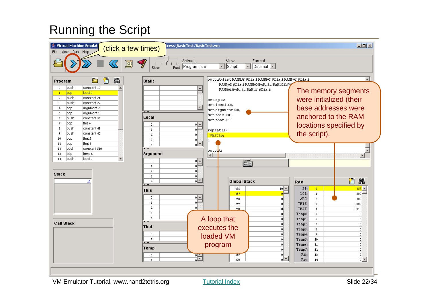![](_page_21_Figure_1.jpeg)

Tutorial Index Slide 22/34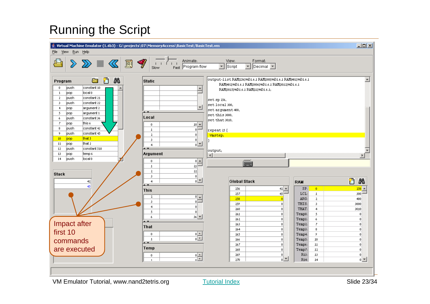![](_page_22_Figure_1.jpeg)

Tutorial Index Slide 23/34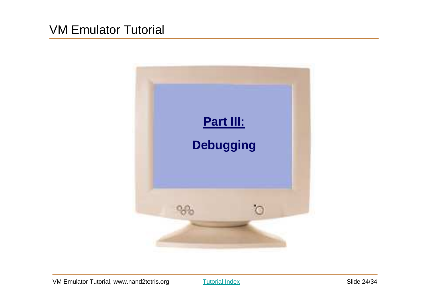![](_page_23_Picture_1.jpeg)

Tutorial Index **Slide 24/34**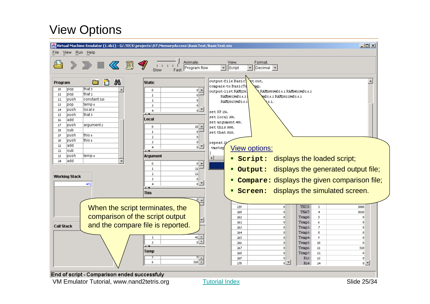## View Options

![](_page_24_Figure_1.jpeg)

End of script - Comparison ended successfuly

VM Emulator Tutorial, www.nand2tetris.org

Tutorial Index Slide 25/34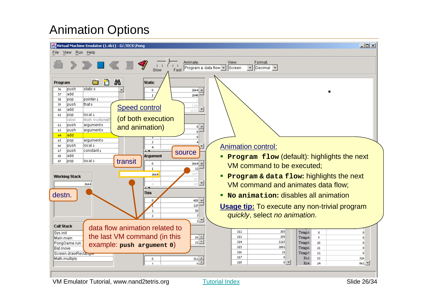### Animation Options

![](_page_25_Figure_1.jpeg)

VM Emulator Tutorial, www.nand2tetris.org

Tutorial Index Slide 26/34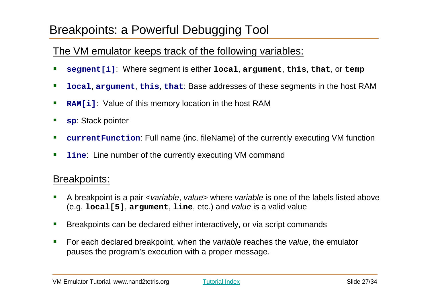#### Breakpoints: a Powerful Debugging Tool

#### The VM emulator keeps track of the following variables:

- $\mathcal{L}_{\mathcal{A}}$ **segment[i]**: Where segment is either **local**, **argument**, **this**, **that**, or **temp**
- $\mathcal{L}_{\mathcal{A}}$ **local**, **argument**, **this**, **that**: Base addresses of these segments in the host RAM
- $\overline{\phantom{a}}$ **RAM[i]:** Value of this memory location in the host RAM
- $\mathcal{L}_{\mathcal{A}}$ **sp**: Stack pointer
- $\mathcal{L}_{\mathcal{A}}$ **currentFunction**: Full name (inc. fileName) of the currently executing VM function
- $\overline{\phantom{a}}$ **line**: Line number of the currently executing VM command

#### Breakpoints:

- $\mathcal{L}_{\mathcal{A}}$ A breakpoint is a pair <variable, value> where variable is one of the labels listed above (e.g. **local[5]**, **argument**, **line**, etc.) and value is a valid value
- $\mathcal{L}_{\mathcal{A}}$ Breakpoints can be declared either interactively, or via script commands
- $\mathcal{L}_{\mathcal{A}}$ For each declared breakpoint, when the *variable* reaches the *value*, the emulator pauses the program's execution with a proper message.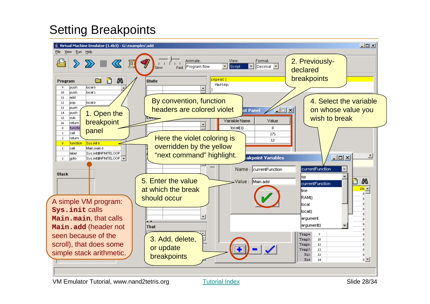# Setting Breakpoints

![](_page_27_Picture_1.jpeg)

Tutorial Index Slide 28/34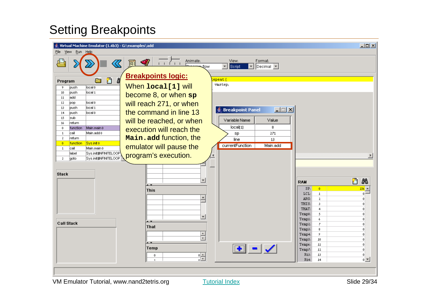# Setting Breakpoints

| Virtual Machine Emulator (1.4b3) - G:\examples\add<br>Run Help<br>File<br>View                           |                           |                                                                                                                |                                    | Z                     |
|----------------------------------------------------------------------------------------------------------|---------------------------|----------------------------------------------------------------------------------------------------------------|------------------------------------|-----------------------|
| <u>n 11 元元</u><br>راكه<br>$\oslash$                                                                      | Animate:<br>Demonstration | View:<br>Format:<br>$ \text{Decimal} \blacktriangledown $<br>$\overline{\mathbf{v}}$<br>Script<br>$\mathbf{r}$ |                                    |                       |
| <b>Breakpoints logic:</b><br>A<br>们<br>a<br>Program                                                      |                           | epeat {                                                                                                        |                                    |                       |
| When local[1] will<br>local 0<br> push<br>9                                                              |                           | vmstep,                                                                                                        |                                    |                       |
| local 1<br>10<br>push<br>become 8, or when sp<br>11<br>add                                               |                           |                                                                                                                |                                    |                       |
| local 0<br>will reach 271, or when<br>12<br>pop.<br>13<br>local 1<br> push                               |                           |                                                                                                                |                                    |                       |
| the command in line 13<br>local 0<br> push<br>14                                                         |                           | <b>Breakpoint Panel</b><br><b>L回</b>                                                                           |                                    |                       |
| 15<br>sub-<br>will be reached, or when<br>return<br>16                                                   |                           | Variable Name<br>Value                                                                                         |                                    |                       |
| Main.main 0<br>$\theta$<br>function<br>execution will reach the                                          |                           | local[1]<br>8                                                                                                  |                                    |                       |
| Main.add 0<br>lcall<br>1<br>Main.add function, the<br>$\mathbf{2}$<br>return                             |                           | 271<br>sp<br>line<br>13                                                                                        |                                    |                       |
| Sys.init 0<br>function<br>$\mathbf{0}$<br>emulator will pause the<br>lca∥<br>Main.main 0<br>$\mathbf{1}$ |                           | currentFunction<br>Main.add                                                                                    |                                    |                       |
| Sys.init\$INFINITELOOP<br>label<br>program's execution.                                                  |                           |                                                                                                                |                                    |                       |
| Sys.init\$NFINITELOOP<br>2<br>goto                                                                       |                           |                                                                                                                |                                    |                       |
|                                                                                                          |                           |                                                                                                                |                                    |                       |
| <b>Stack</b>                                                                                             | ٠                         |                                                                                                                | <b>RAM</b>                         | n<br>踻                |
| $\overline{1}$                                                                                           |                           |                                                                                                                | SP <sub>1</sub><br>$\mathbf{0}$    | $256 -$               |
| <b>This</b>                                                                                              | $\blacktriangle$          |                                                                                                                | LCL:<br>$\mathbf{1}$               | n.                    |
|                                                                                                          |                           |                                                                                                                | ARG:<br>$\mathbf{2}$<br>3<br>THIS: | 0<br>0                |
|                                                                                                          |                           |                                                                                                                | $\overline{4}$<br>THAT:            | $\boldsymbol{0}$      |
|                                                                                                          | ٠                         |                                                                                                                | 5<br>Temp0:<br>6<br>Tempi:         | $\theta$<br>n.        |
| $\overline{\phantom{a}}$<br><b>Call Stack</b>                                                            |                           |                                                                                                                | Temp2:<br>$\mathbf{7}$             | n                     |
| <b>That</b>                                                                                              |                           |                                                                                                                | 8<br>Temp3:                        | n                     |
|                                                                                                          | $\frac{1}{\sqrt{2}}$      |                                                                                                                | 9<br>Temp4:                        | n.                    |
| $\overline{1}$                                                                                           |                           |                                                                                                                | 10<br>Temp5:                       | $\mathbf{0}$          |
| Temp                                                                                                     |                           | $\left  \bullet \right $ - $\left  \checkmark \right $                                                         | 11<br>Temp6:                       | $\bf{0}$              |
|                                                                                                          |                           |                                                                                                                | 12<br>Temp7:<br>13<br>R13:         | $\boldsymbol{0}$<br>0 |
| 0<br>$\overline{\mathbf{1}}$                                                                             | 음                         |                                                                                                                | R14:<br>14                         | $0$ $\overline{ }$    |
|                                                                                                          |                           |                                                                                                                |                                    |                       |
|                                                                                                          |                           |                                                                                                                |                                    |                       |
|                                                                                                          |                           |                                                                                                                |                                    |                       |

Tutorial Index **Slide 29/34**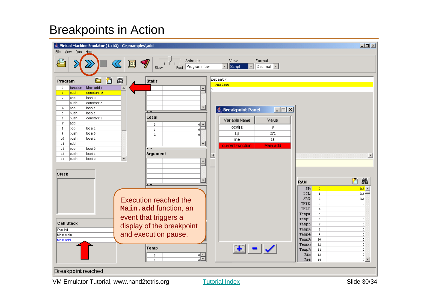## Breakpoints in Action

![](_page_29_Figure_1.jpeg)

Tutorial Index Slide 30/34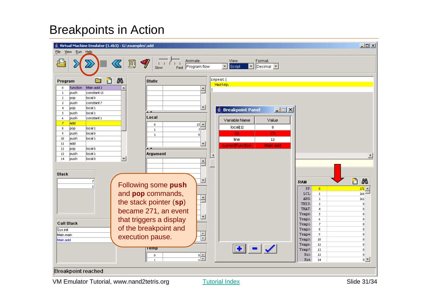## Breakpoints in Action

![](_page_30_Figure_1.jpeg)

Tutorial Index Slide 31/34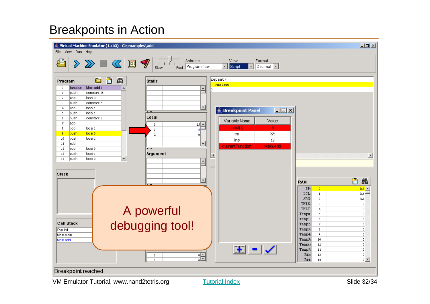## Breakpoints in Action

![](_page_31_Figure_1.jpeg)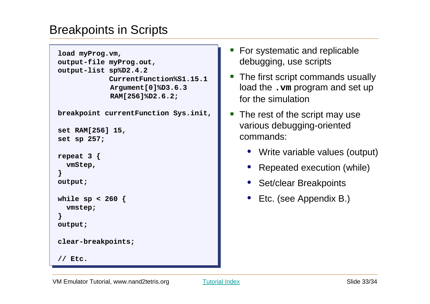## Breakpoints in Scripts

```
load myProg.vm,load myProg.vm,
output-file myProg.out,
output-file myProg.out,output-list sp%D2.4.2 output-list sp%D2.4.2 
CurrentFunction%S1.15.1 
CurrentFunction%S1.15.1 Argument[0]%D3.6.3 Argument[0]%D3.6.3 RAM[256]%D2.6.2;RAM[256]%D2.6.2;breakpoint currentFunction Sys.init,breakpoint currentFunction Sys.init,set RAM[256] 15,set RAM[256] 15,set sp 257;set sp 257;repeat 3 {repeat 3 {vmStep,
vmStep,}}
output;
output;while sp < 260 {while sp < 260 {vmstep;vmstep;}
output;
output;clear-breakpoints;clear-breakpoints;// Etc.// Etc.}
```
- $\mathcal{L}(\mathcal{L})$  For systematic and replicable debugging, use scripts
- **Service Service**  The first script commands usually load the **.vm** program and set up for the simulation
- $\blacksquare$  The rest of the script may use various debugging-oriented commands:
	- Write variable values (output)
	- Repeated execution (while)
	- Set/clear Breakpoints
	- Etc. (see Appendix B.)